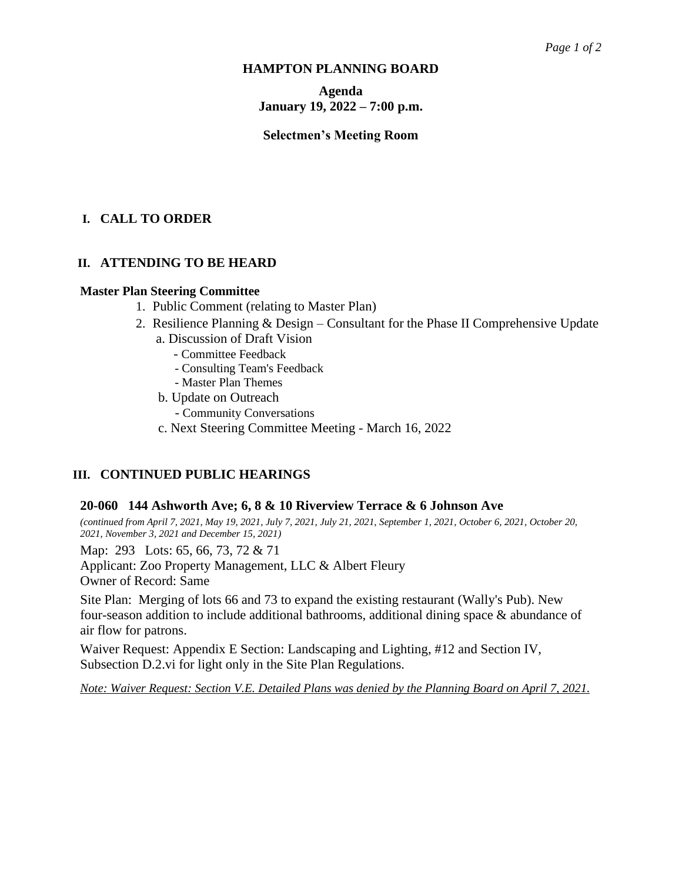# **HAMPTON PLANNING BOARD**

# **Agenda January 19, 2022 – 7:00 p.m.**

# **Selectmen's Meeting Room**

# **I. CALL TO ORDER**

# **II. ATTENDING TO BE HEARD**

## **Master Plan Steering Committee**

- 1. Public Comment (relating to Master Plan)
- 2. Resilience Planning & Design Consultant for the Phase II Comprehensive Update
	- a. Discussion of Draft Vision
		- Committee Feedback
		- Consulting Team's Feedback
		- Master Plan Themes
	- b. Update on Outreach
		- Community Conversations
	- c. Next Steering Committee Meeting March 16, 2022

# **III. CONTINUED PUBLIC HEARINGS**

## **20-060 144 Ashworth Ave; 6, 8 & 10 Riverview Terrace & 6 Johnson Ave**

*(continued from April 7, 2021, May 19, 2021, July 7, 2021, July 21, 2021, September 1, 2021, October 6, 2021, October 20, 2021, November 3, 2021 and December 15, 2021)*

Map: 293 Lots: 65, 66, 73, 72 & 71

Applicant: Zoo Property Management, LLC & Albert Fleury Owner of Record: Same

Site Plan: Merging of lots 66 and 73 to expand the existing restaurant (Wally's Pub). New four-season addition to include additional bathrooms, additional dining space & abundance of air flow for patrons.

Waiver Request: Appendix E Section: Landscaping and Lighting, #12 and Section IV, Subsection D.2.vi for light only in the Site Plan Regulations.

*Note: Waiver Request: Section V.E. Detailed Plans was denied by the Planning Board on April 7, 2021.*